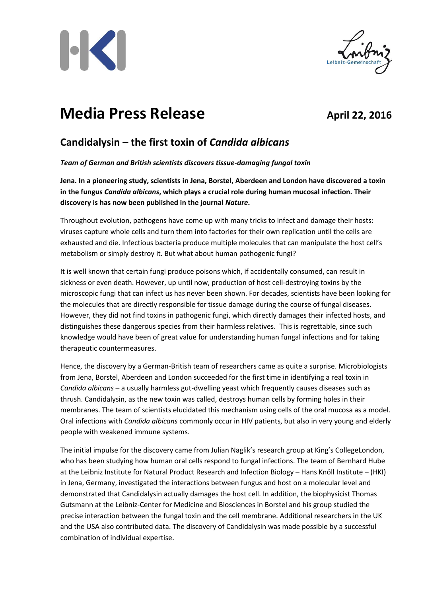



# **Media Press Release April 22, 2016**

## **Candidalysin – the first toxin of** *Candida albicans*

### *Team of German and British scientists discovers tissue-damaging fungal toxin*

**Jena. In a pioneering study, scientists in Jena, Borstel, Aberdeen and London have discovered a toxin in the fungus** *Candida albicans***, which plays a crucial role during human mucosal infection. Their discovery is has now been published in the journal** *Nature***.** 

Throughout evolution, pathogens have come up with many tricks to infect and damage their hosts: viruses capture whole cells and turn them into factories for their own replication until the cells are exhausted and die. Infectious bacteria produce multiple molecules that can manipulate the host cell's metabolism or simply destroy it. But what about human pathogenic fungi?

It is well known that certain fungi produce poisons which, if accidentally consumed, can result in sickness or even death. However, up until now, production of host cell-destroying toxins by the microscopic fungi that can infect us has never been shown. For decades, scientists have been looking for the molecules that are directly responsible for tissue damage during the course of fungal diseases. However, they did not find toxins in pathogenic fungi, which directly damages their infected hosts, and distinguishes these dangerous species from their harmless relatives. This is regrettable, since such knowledge would have been of great value for understanding human fungal infections and for taking therapeutic countermeasures.

Hence, the discovery by a German-British team of researchers came as quite a surprise. Microbiologists from Jena, Borstel, Aberdeen and London succeeded for the first time in identifying a real toxin in *Candida albicans* – a usually harmless gut-dwelling yeast which frequently causes diseases such as thrush. Candidalysin, as the new toxin was called, destroys human cells by forming holes in their membranes. The team of scientists elucidated this mechanism using cells of the oral mucosa as a model. Oral infections with *Candida albicans* commonly occur in HIV patients, but also in very young and elderly people with weakened immune systems.

The initial impulse for the discovery came from Julian Naglik's research group at King's CollegeLondon, who has been studying how human oral cells respond to fungal infections. The team of Bernhard Hube at the Leibniz Institute for Natural Product Research and Infection Biology – Hans Knöll Institute – (HKI) in Jena, Germany, investigated the interactions between fungus and host on a molecular level and demonstrated that Candidalysin actually damages the host cell. In addition, the biophysicist Thomas Gutsmann at the Leibniz-Center for Medicine and Biosciences in Borstel and his group studied the precise interaction between the fungal toxin and the cell membrane. Additional researchers in the UK and the USA also contributed data. The discovery of Candidalysin was made possible by a successful combination of individual expertise.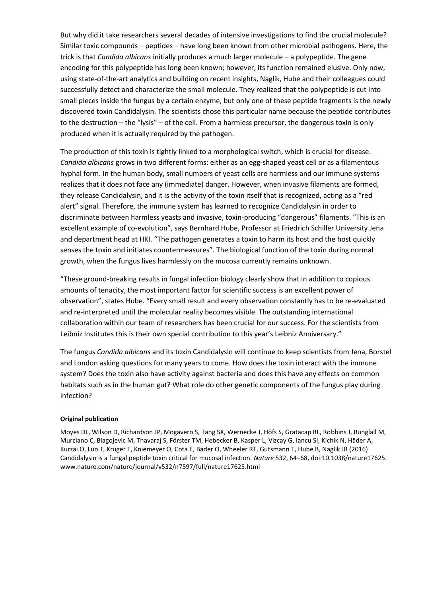But why did it take researchers several decades of intensive investigations to find the crucial molecule? Similar toxic compounds – peptides – have long been known from other microbial pathogens. Here, the trick is that *Candida albicans* initially produces a much larger molecule – a polypeptide. The gene encoding for this polypeptide has long been known; however, its function remained elusive. Only now, using state-of-the-art analytics and building on recent insights, Naglik, Hube and their colleagues could successfully detect and characterize the small molecule. They realized that the polypeptide is cut into small pieces inside the fungus by a certain enzyme, but only one of these peptide fragments is the newly discovered toxin Candidalysin. The scientists chose this particular name because the peptide contributes to the destruction – the "lysis" – of the cell. From a harmless precursor, the dangerous toxin is only produced when it is actually required by the pathogen.

The production of this toxin is tightly linked to a morphological switch, which is crucial for disease. *Candida albicans* grows in two different forms: either as an egg-shaped yeast cell or as a filamentous hyphal form. In the human body, small numbers of yeast cells are harmless and our immune systems realizes that it does not face any (immediate) danger. However, when invasive filaments are formed, they release Candidalysin, and it is the activity of the toxin itself that is recognized, acting as a "red alert" signal. Therefore, the immune system has learned to recognize Candidalysin in order to discriminate between harmless yeasts and invasive, toxin-producing "dangerous" filaments. "This is an excellent example of co-evolution", says Bernhard Hube, Professor at Friedrich Schiller University Jena and department head at HKI. "The pathogen generates a toxin to harm its host and the host quickly senses the toxin and initiates countermeasures". The biological function of the toxin during normal growth, when the fungus lives harmlessly on the mucosa currently remains unknown.

"These ground-breaking results in fungal infection biology clearly show that in addition to copious amounts of tenacity, the most important factor for scientific success is an excellent power of observation", states Hube. "Every small result and every observation constantly has to be re-evaluated and re-interpreted until the molecular reality becomes visible. The outstanding international collaboration within our team of researchers has been crucial for our success. For the scientists from Leibniz Institutes this is their own special contribution to this year's Leibniz Anniversary."

The fungus *Candida albicans* and its toxin Candidalysin will continue to keep scientists from Jena, Borstel and London asking questions for many years to come. How does the toxin interact with the immune system? Does the toxin also have activity against bacteria and does this have any effects on common habitats such as in the human gut? What role do other genetic components of the fungus play during infection?

#### **Original publication**

Moyes DL, Wilson D, Richardson JP, Mogavero S, Tang SX, Wernecke J, Höfs S, Gratacap RL, Robbins J, Runglall M, Murciano C, Blagojevic M, Thavaraj S, Förster TM, Hebecker B, Kasper L, Vizcay G, Iancu SI, Kichik N, Häder A, Kurzai O, Luo T, Krüger T, Kniemeyer O, Cota E, Bader O, Wheeler RT, Gutsmann T, Hube B, Naglik JR (2016) Candidalysin is a fungal peptide toxin critical for mucosal infection. *Nature* 532, 64–68, doi:10.1038/nature17625. www.nature.com/nature/journal/v532/n7597/full/nature17625.html